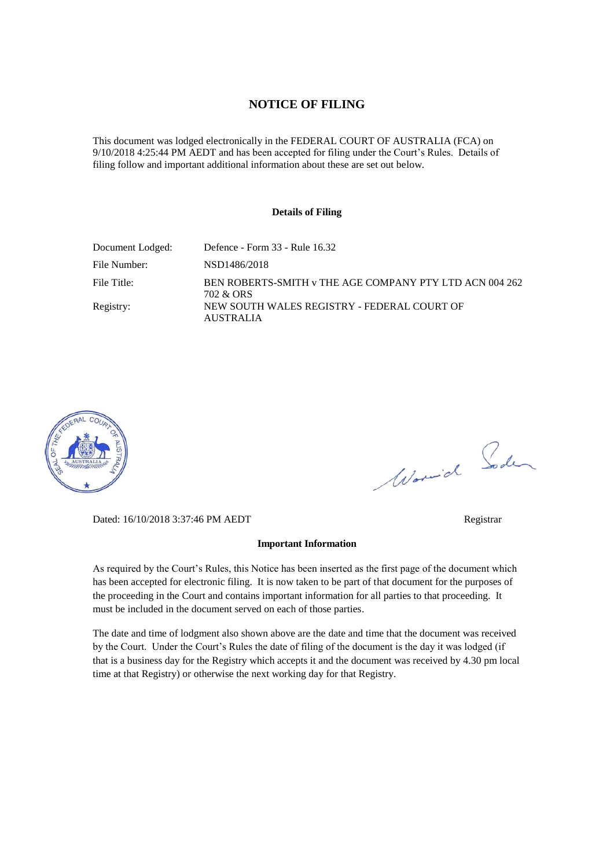### **NOTICE OF FILING**

This document was lodged electronically in the FEDERAL COURT OF AUSTRALIA (FCA) on 9/10/2018 4:25:44 PM AEDT and has been accepted for filing under the Court's Rules. Details of filing follow and important additional information about these are set out below.

#### **Details of Filing**

| Document Lodged: | Defence - Form $33$ - Rule $16.32$                                   |
|------------------|----------------------------------------------------------------------|
| File Number:     | NSD1486/2018                                                         |
| File Title:      | BEN ROBERTS-SMITH v THE AGE COMPANY PTY LTD ACN 004 262<br>702 & ORS |
| Registry:        | NEW SOUTH WALES REGISTRY - FEDERAL COURT OF<br><b>AUSTRALIA</b>      |



Worwich Soden

Dated: 16/10/2018 3:37:46 PM AEDT Registrar

#### **Important Information**

As required by the Court's Rules, this Notice has been inserted as the first page of the document which has been accepted for electronic filing. It is now taken to be part of that document for the purposes of the proceeding in the Court and contains important information for all parties to that proceeding. It must be included in the document served on each of those parties.

The date and time of lodgment also shown above are the date and time that the document was received by the Court. Under the Court's Rules the date of filing of the document is the day it was lodged (if that is a business day for the Registry which accepts it and the document was received by 4.30 pm local time at that Registry) or otherwise the next working day for that Registry.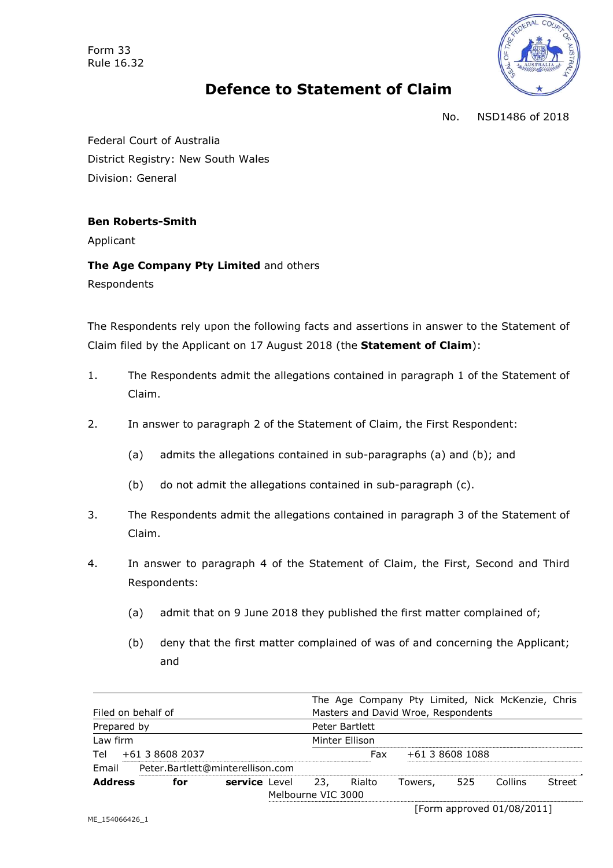Form 33 Rule 16.32



# **Defence to Statement of Claim**

No. NSD1486 of 2018

Federal Court of Australia District Registry: New South Wales Division: General

**Ben Roberts-Smith**

Applicant

**The Age Company Pty Limited** and others

Respondents

The Respondents rely upon the following facts and assertions in answer to the Statement of Claim filed by the Applicant on 17 August 2018 (the **Statement of Claim**):

- 1. The Respondents admit the allegations contained in paragraph 1 of the Statement of Claim.
- 2. In answer to paragraph 2 of the Statement of Claim, the First Respondent:
	- (a) admits the allegations contained in sub-paragraphs (a) and (b); and
	- (b) do not admit the allegations contained in sub-paragraph (c).
- 3. The Respondents admit the allegations contained in paragraph 3 of the Statement of Claim.
- 4. In answer to paragraph 4 of the Statement of Claim, the First, Second and Third Respondents:
	- (a) admit that on 9 June 2018 they published the first matter complained of;
	- (b) deny that the first matter complained of was of and concerning the Applicant; and

| <b>Address</b>     | for                              | service Level | -23.<br>Melbourne VIC 3000 | Rialto                              | Towers,                                           | 525             | <b>Collins</b> | Street |  |
|--------------------|----------------------------------|---------------|----------------------------|-------------------------------------|---------------------------------------------------|-----------------|----------------|--------|--|
| Email              | Peter.Bartlett@minterellison.com |               |                            |                                     |                                                   |                 |                |        |  |
| Tel                | +61 3 8608 2037                  |               |                            | Fax                                 |                                                   | +61 3 8608 1088 |                |        |  |
| Law firm           |                                  |               |                            | Minter Ellison                      |                                                   |                 |                |        |  |
| Prepared by        |                                  |               |                            | Peter Bartlett                      |                                                   |                 |                |        |  |
| Filed on behalf of |                                  |               |                            | Masters and David Wroe, Respondents |                                                   |                 |                |        |  |
|                    |                                  |               |                            |                                     | The Age Company Pty Limited, Nick McKenzie, Chris |                 |                |        |  |

[Form approved 01/08/2011]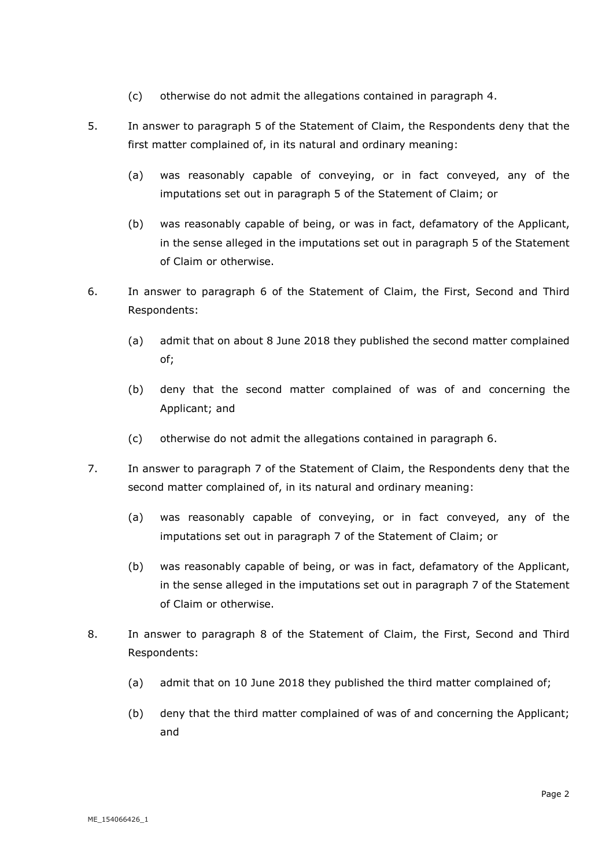- (c) otherwise do not admit the allegations contained in paragraph 4.
- 5. In answer to paragraph 5 of the Statement of Claim, the Respondents deny that the first matter complained of, in its natural and ordinary meaning:
	- (a) was reasonably capable of conveying, or in fact conveyed, any of the imputations set out in paragraph 5 of the Statement of Claim; or
	- (b) was reasonably capable of being, or was in fact, defamatory of the Applicant, in the sense alleged in the imputations set out in paragraph 5 of the Statement of Claim or otherwise.
- 6. In answer to paragraph 6 of the Statement of Claim, the First, Second and Third Respondents:
	- (a) admit that on about 8 June 2018 they published the second matter complained of;
	- (b) deny that the second matter complained of was of and concerning the Applicant; and
	- (c) otherwise do not admit the allegations contained in paragraph 6.
- 7. In answer to paragraph 7 of the Statement of Claim, the Respondents deny that the second matter complained of, in its natural and ordinary meaning:
	- (a) was reasonably capable of conveying, or in fact conveyed, any of the imputations set out in paragraph 7 of the Statement of Claim; or
	- (b) was reasonably capable of being, or was in fact, defamatory of the Applicant, in the sense alleged in the imputations set out in paragraph 7 of the Statement of Claim or otherwise.
- 8. In answer to paragraph 8 of the Statement of Claim, the First, Second and Third Respondents:
	- (a) admit that on 10 June 2018 they published the third matter complained of;
	- (b) deny that the third matter complained of was of and concerning the Applicant; and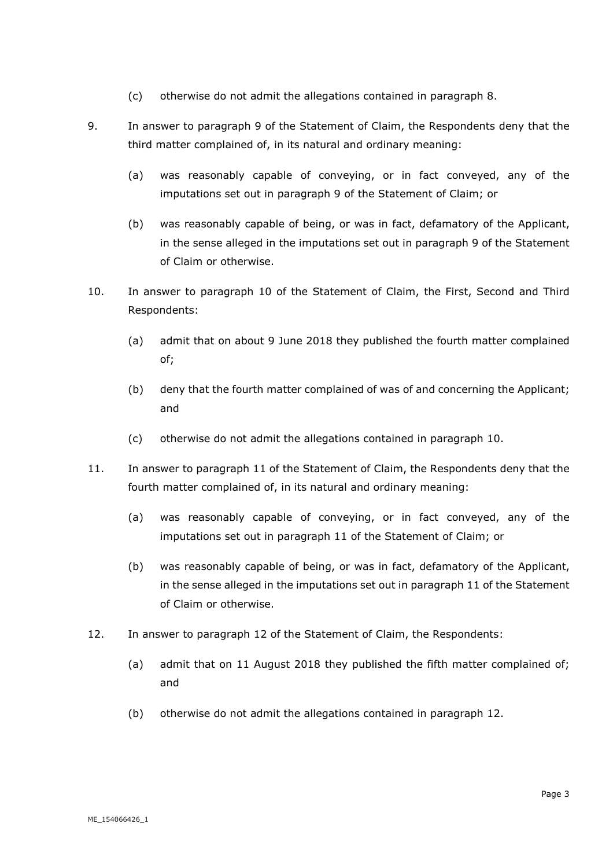- (c) otherwise do not admit the allegations contained in paragraph 8.
- 9. In answer to paragraph 9 of the Statement of Claim, the Respondents deny that the third matter complained of, in its natural and ordinary meaning:
	- (a) was reasonably capable of conveying, or in fact conveyed, any of the imputations set out in paragraph 9 of the Statement of Claim; or
	- (b) was reasonably capable of being, or was in fact, defamatory of the Applicant, in the sense alleged in the imputations set out in paragraph 9 of the Statement of Claim or otherwise.
- 10. In answer to paragraph 10 of the Statement of Claim, the First, Second and Third Respondents:
	- (a) admit that on about 9 June 2018 they published the fourth matter complained of;
	- (b) deny that the fourth matter complained of was of and concerning the Applicant; and
	- (c) otherwise do not admit the allegations contained in paragraph 10.
- 11. In answer to paragraph 11 of the Statement of Claim, the Respondents deny that the fourth matter complained of, in its natural and ordinary meaning:
	- (a) was reasonably capable of conveying, or in fact conveyed, any of the imputations set out in paragraph 11 of the Statement of Claim; or
	- (b) was reasonably capable of being, or was in fact, defamatory of the Applicant, in the sense alleged in the imputations set out in paragraph 11 of the Statement of Claim or otherwise.
- 12. In answer to paragraph 12 of the Statement of Claim, the Respondents:
	- (a) admit that on 11 August 2018 they published the fifth matter complained of; and
	- (b) otherwise do not admit the allegations contained in paragraph 12.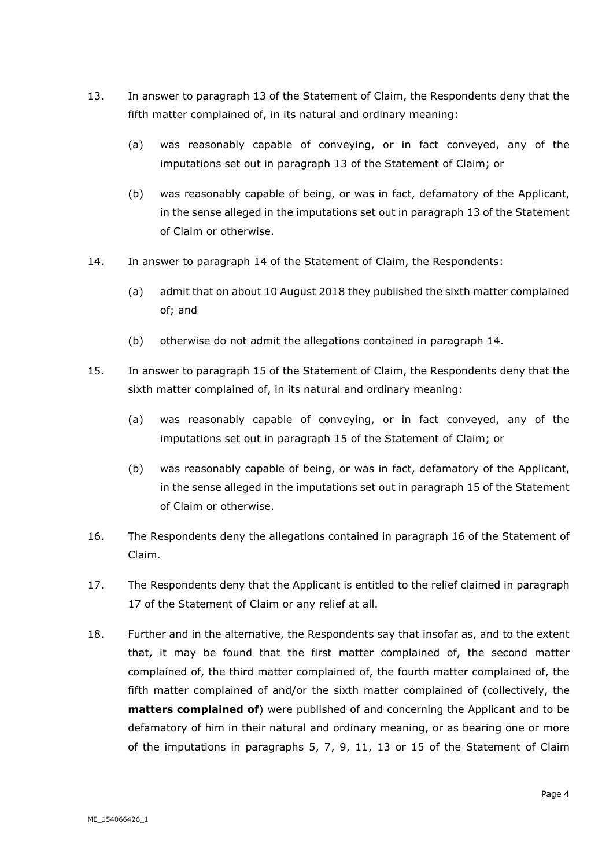- 13. In answer to paragraph 13 of the Statement of Claim, the Respondents deny that the fifth matter complained of, in its natural and ordinary meaning:
	- (a) was reasonably capable of conveying, or in fact conveyed, any of the imputations set out in paragraph 13 of the Statement of Claim; or
	- (b) was reasonably capable of being, or was in fact, defamatory of the Applicant, in the sense alleged in the imputations set out in paragraph 13 of the Statement of Claim or otherwise.
- 14. In answer to paragraph 14 of the Statement of Claim, the Respondents:
	- (a) admit that on about 10 August 2018 they published the sixth matter complained of; and
	- (b) otherwise do not admit the allegations contained in paragraph 14.
- 15. In answer to paragraph 15 of the Statement of Claim, the Respondents deny that the sixth matter complained of, in its natural and ordinary meaning:
	- (a) was reasonably capable of conveying, or in fact conveyed, any of the imputations set out in paragraph 15 of the Statement of Claim; or
	- (b) was reasonably capable of being, or was in fact, defamatory of the Applicant, in the sense alleged in the imputations set out in paragraph 15 of the Statement of Claim or otherwise.
- 16. The Respondents deny the allegations contained in paragraph 16 of the Statement of Claim.
- 17. The Respondents deny that the Applicant is entitled to the relief claimed in paragraph 17 of the Statement of Claim or any relief at all.
- 18. Further and in the alternative, the Respondents say that insofar as, and to the extent that, it may be found that the first matter complained of, the second matter complained of, the third matter complained of, the fourth matter complained of, the fifth matter complained of and/or the sixth matter complained of (collectively, the **matters complained of**) were published of and concerning the Applicant and to be defamatory of him in their natural and ordinary meaning, or as bearing one or more of the imputations in paragraphs 5, 7, 9, 11, 13 or 15 of the Statement of Claim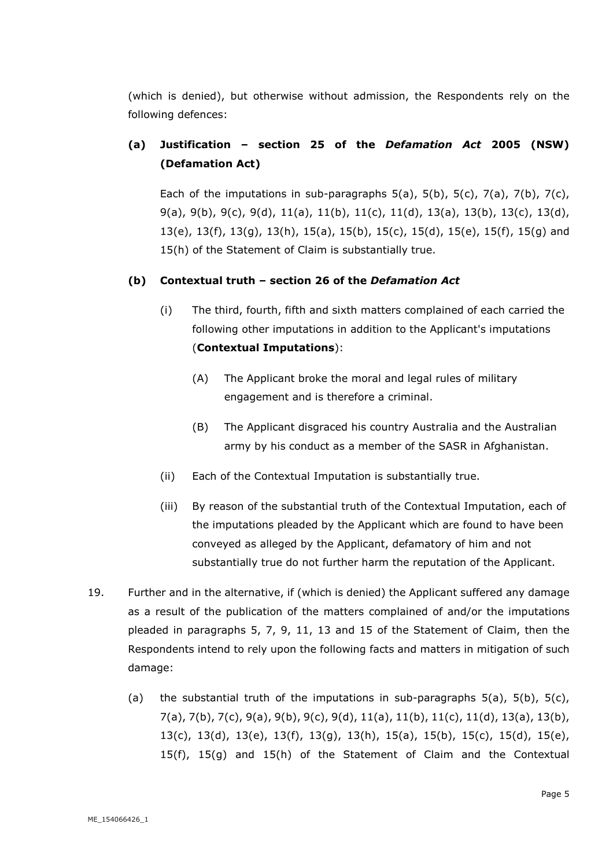(which is denied), but otherwise without admission, the Respondents rely on the following defences:

## **(a) Justification – section 25 of the** *Defamation Act* **2005 (NSW) (Defamation Act)**

Each of the imputations in sub-paragraphs  $5(a)$ ,  $5(b)$ ,  $5(c)$ ,  $7(a)$ ,  $7(b)$ ,  $7(c)$ , 9(a), 9(b), 9(c), 9(d), 11(a), 11(b), 11(c), 11(d), 13(a), 13(b), 13(c), 13(d), 13(e), 13(f), 13(g), 13(h), 15(a), 15(b), 15(c), 15(d), 15(e), 15(f), 15(g) and 15(h) of the Statement of Claim is substantially true.

## **(b) Contextual truth – section 26 of the** *Defamation Act*

- (i) The third, fourth, fifth and sixth matters complained of each carried the following other imputations in addition to the Applicant's imputations (**Contextual Imputations**):
	- (A) The Applicant broke the moral and legal rules of military engagement and is therefore a criminal.
	- (B) The Applicant disgraced his country Australia and the Australian army by his conduct as a member of the SASR in Afghanistan.
- (ii) Each of the Contextual Imputation is substantially true.
- (iii) By reason of the substantial truth of the Contextual Imputation, each of the imputations pleaded by the Applicant which are found to have been conveyed as alleged by the Applicant, defamatory of him and not substantially true do not further harm the reputation of the Applicant.
- 19. Further and in the alternative, if (which is denied) the Applicant suffered any damage as a result of the publication of the matters complained of and/or the imputations pleaded in paragraphs 5, 7, 9, 11, 13 and 15 of the Statement of Claim, then the Respondents intend to rely upon the following facts and matters in mitigation of such damage:
	- (a) the substantial truth of the imputations in sub-paragraphs  $5(a)$ ,  $5(b)$ ,  $5(c)$ , 7(a), 7(b), 7(c), 9(a), 9(b), 9(c), 9(d), 11(a), 11(b), 11(c), 11(d), 13(a), 13(b), 13(c), 13(d), 13(e), 13(f), 13(g), 13(h), 15(a), 15(b), 15(c), 15(d), 15(e), 15(f), 15(g) and 15(h) of the Statement of Claim and the Contextual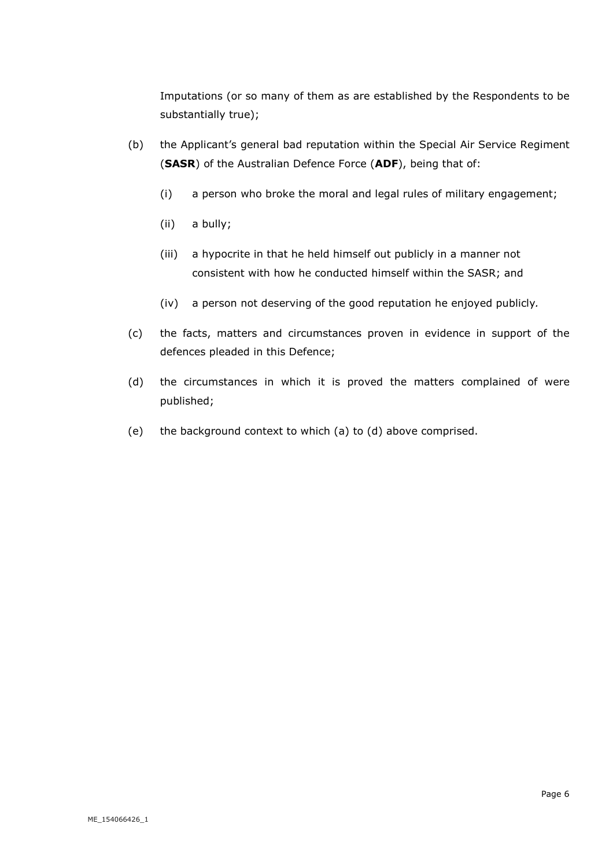Imputations (or so many of them as are established by the Respondents to be substantially true);

- (b) the Applicant's general bad reputation within the Special Air Service Regiment (**SASR**) of the Australian Defence Force (**ADF**), being that of:
	- (i) a person who broke the moral and legal rules of military engagement;
	- (ii) a bully;
	- (iii) a hypocrite in that he held himself out publicly in a manner not consistent with how he conducted himself within the SASR; and
	- (iv) a person not deserving of the good reputation he enjoyed publicly*.*
- (c) the facts, matters and circumstances proven in evidence in support of the defences pleaded in this Defence;
- (d) the circumstances in which it is proved the matters complained of were published;
- (e) the background context to which (a) to (d) above comprised.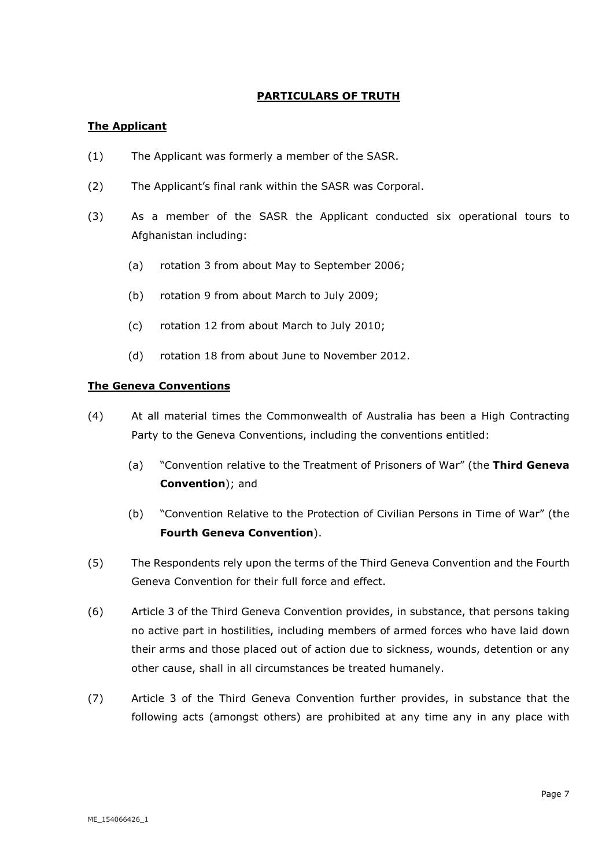## **PARTICULARS OF TRUTH**

## **The Applicant**

- (1) The Applicant was formerly a member of the SASR.
- (2) The Applicant's final rank within the SASR was Corporal.
- (3) As a member of the SASR the Applicant conducted six operational tours to Afghanistan including:
	- (a) rotation 3 from about May to September 2006;
	- (b) rotation 9 from about March to July 2009;
	- (c) rotation 12 from about March to July 2010;
	- (d) rotation 18 from about June to November 2012.

#### **The Geneva Conventions**

- (4) At all material times the Commonwealth of Australia has been a High Contracting Party to the Geneva Conventions, including the conventions entitled:
	- (a) "Convention relative to the Treatment of Prisoners of War" (the **Third Geneva Convention**); and
	- (b) "Convention Relative to the Protection of Civilian Persons in Time of War" (the **Fourth Geneva Convention**).
- (5) The Respondents rely upon the terms of the Third Geneva Convention and the Fourth Geneva Convention for their full force and effect.
- (6) Article 3 of the Third Geneva Convention provides, in substance, that persons taking no active part in hostilities, including members of armed forces who have laid down their arms and those placed out of action due to sickness, wounds, detention or any other cause, shall in all circumstances be treated humanely.
- (7) Article 3 of the Third Geneva Convention further provides, in substance that the following acts (amongst others) are prohibited at any time any in any place with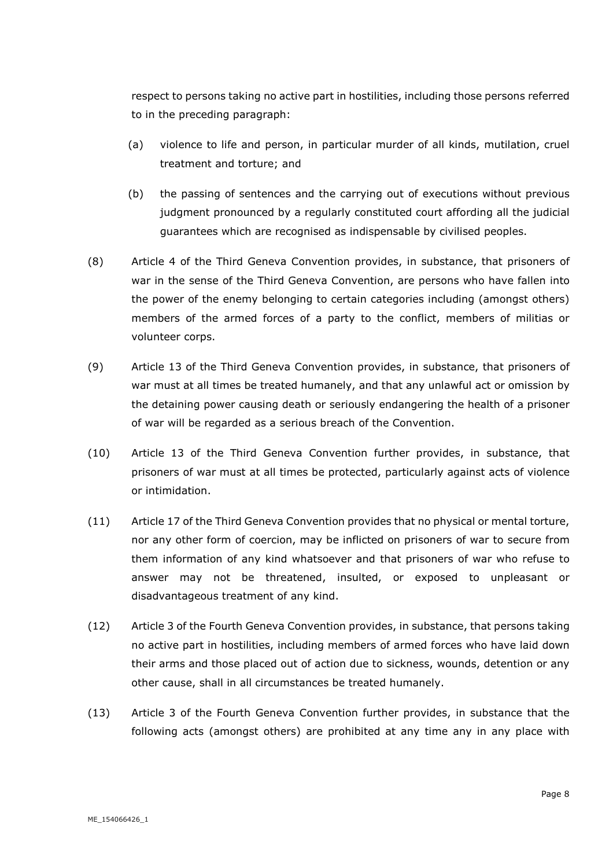respect to persons taking no active part in hostilities, including those persons referred to in the preceding paragraph:

- (a) violence to life and person, in particular murder of all kinds, mutilation, cruel treatment and torture; and
- (b) the passing of sentences and the carrying out of executions without previous judgment pronounced by a regularly constituted court affording all the judicial guarantees which are recognised as indispensable by civilised peoples.
- (8) Article 4 of the Third Geneva Convention provides, in substance, that prisoners of war in the sense of the Third Geneva Convention, are persons who have fallen into the power of the enemy belonging to certain categories including (amongst others) members of the armed forces of a party to the conflict, members of militias or volunteer corps.
- (9) Article 13 of the Third Geneva Convention provides, in substance, that prisoners of war must at all times be treated humanely, and that any unlawful act or omission by the detaining power causing death or seriously endangering the health of a prisoner of war will be regarded as a serious breach of the Convention.
- (10) Article 13 of the Third Geneva Convention further provides, in substance, that prisoners of war must at all times be protected, particularly against acts of violence or intimidation.
- (11) Article 17 of the Third Geneva Convention provides that no physical or mental torture, nor any other form of coercion, may be inflicted on prisoners of war to secure from them information of any kind whatsoever and that prisoners of war who refuse to answer may not be threatened, insulted, or exposed to unpleasant or disadvantageous treatment of any kind.
- (12) Article 3 of the Fourth Geneva Convention provides, in substance, that persons taking no active part in hostilities, including members of armed forces who have laid down their arms and those placed out of action due to sickness, wounds, detention or any other cause, shall in all circumstances be treated humanely.
- (13) Article 3 of the Fourth Geneva Convention further provides, in substance that the following acts (amongst others) are prohibited at any time any in any place with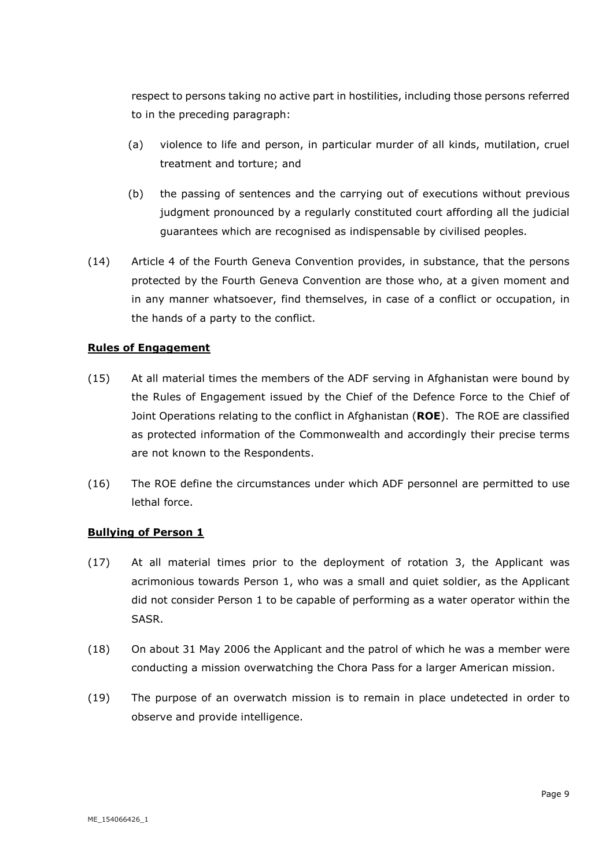respect to persons taking no active part in hostilities, including those persons referred to in the preceding paragraph:

- (a) violence to life and person, in particular murder of all kinds, mutilation, cruel treatment and torture; and
- (b) the passing of sentences and the carrying out of executions without previous judgment pronounced by a regularly constituted court affording all the judicial guarantees which are recognised as indispensable by civilised peoples.
- (14) Article 4 of the Fourth Geneva Convention provides, in substance, that the persons protected by the Fourth Geneva Convention are those who, at a given moment and in any manner whatsoever, find themselves, in case of a conflict or occupation, in the hands of a party to the conflict.

## **Rules of Engagement**

- (15) At all material times the members of the ADF serving in Afghanistan were bound by the Rules of Engagement issued by the Chief of the Defence Force to the Chief of Joint Operations relating to the conflict in Afghanistan (**ROE**). The ROE are classified as protected information of the Commonwealth and accordingly their precise terms are not known to the Respondents.
- (16) The ROE define the circumstances under which ADF personnel are permitted to use lethal force.

#### **Bullying of Person 1**

- (17) At all material times prior to the deployment of rotation 3, the Applicant was acrimonious towards Person 1, who was a small and quiet soldier, as the Applicant did not consider Person 1 to be capable of performing as a water operator within the SASR.
- (18) On about 31 May 2006 the Applicant and the patrol of which he was a member were conducting a mission overwatching the Chora Pass for a larger American mission.
- (19) The purpose of an overwatch mission is to remain in place undetected in order to observe and provide intelligence.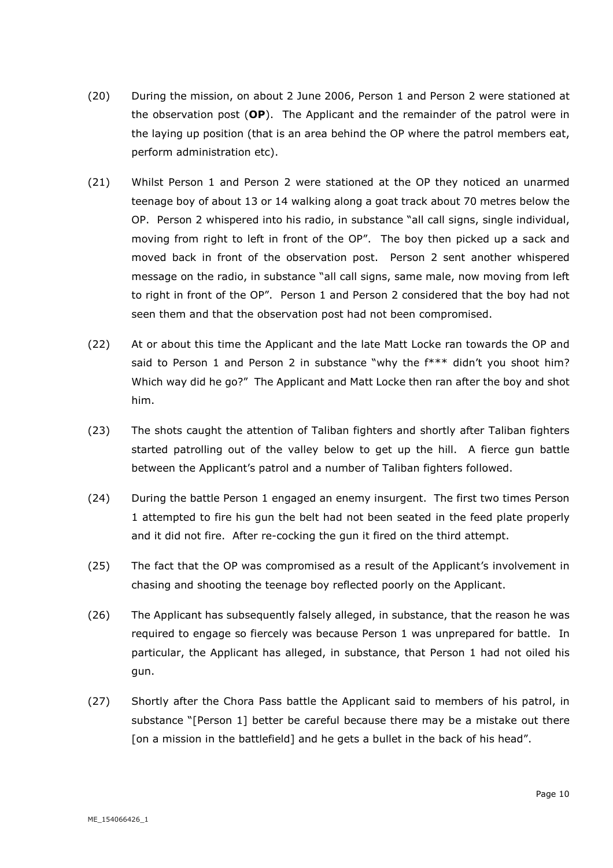- (20) During the mission, on about 2 June 2006, Person 1 and Person 2 were stationed at the observation post (**OP**). The Applicant and the remainder of the patrol were in the laying up position (that is an area behind the OP where the patrol members eat, perform administration etc).
- (21) Whilst Person 1 and Person 2 were stationed at the OP they noticed an unarmed teenage boy of about 13 or 14 walking along a goat track about 70 metres below the OP. Person 2 whispered into his radio, in substance "all call signs, single individual, moving from right to left in front of the OP". The boy then picked up a sack and moved back in front of the observation post. Person 2 sent another whispered message on the radio, in substance "all call signs, same male, now moving from left to right in front of the OP". Person 1 and Person 2 considered that the boy had not seen them and that the observation post had not been compromised.
- (22) At or about this time the Applicant and the late Matt Locke ran towards the OP and said to Person 1 and Person 2 in substance "why the f\*\*\* didn't you shoot him? Which way did he go?" The Applicant and Matt Locke then ran after the boy and shot him.
- (23) The shots caught the attention of Taliban fighters and shortly after Taliban fighters started patrolling out of the valley below to get up the hill. A fierce gun battle between the Applicant's patrol and a number of Taliban fighters followed.
- (24) During the battle Person 1 engaged an enemy insurgent. The first two times Person 1 attempted to fire his gun the belt had not been seated in the feed plate properly and it did not fire. After re-cocking the gun it fired on the third attempt.
- (25) The fact that the OP was compromised as a result of the Applicant's involvement in chasing and shooting the teenage boy reflected poorly on the Applicant.
- (26) The Applicant has subsequently falsely alleged, in substance, that the reason he was required to engage so fiercely was because Person 1 was unprepared for battle. In particular, the Applicant has alleged, in substance, that Person 1 had not oiled his gun.
- (27) Shortly after the Chora Pass battle the Applicant said to members of his patrol, in substance "[Person 1] better be careful because there may be a mistake out there [on a mission in the battlefield] and he gets a bullet in the back of his head".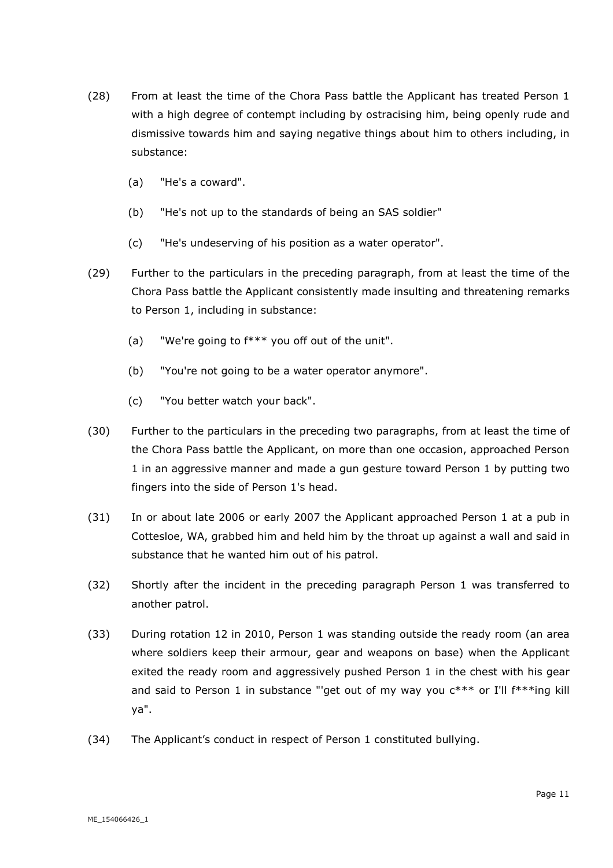- (28) From at least the time of the Chora Pass battle the Applicant has treated Person 1 with a high degree of contempt including by ostracising him, being openly rude and dismissive towards him and saying negative things about him to others including, in substance:
	- (a) "He's a coward".
	- (b) "He's not up to the standards of being an SAS soldier"
	- (c) "He's undeserving of his position as a water operator".
- (29) Further to the particulars in the preceding paragraph, from at least the time of the Chora Pass battle the Applicant consistently made insulting and threatening remarks to Person 1, including in substance:
	- (a) "We're going to f\*\*\* you off out of the unit".
	- (b) "You're not going to be a water operator anymore".
	- (c) "You better watch your back".
- (30) Further to the particulars in the preceding two paragraphs, from at least the time of the Chora Pass battle the Applicant, on more than one occasion, approached Person 1 in an aggressive manner and made a gun gesture toward Person 1 by putting two fingers into the side of Person 1's head.
- (31) In or about late 2006 or early 2007 the Applicant approached Person 1 at a pub in Cottesloe, WA, grabbed him and held him by the throat up against a wall and said in substance that he wanted him out of his patrol.
- (32) Shortly after the incident in the preceding paragraph Person 1 was transferred to another patrol.
- (33) During rotation 12 in 2010, Person 1 was standing outside the ready room (an area where soldiers keep their armour, gear and weapons on base) when the Applicant exited the ready room and aggressively pushed Person 1 in the chest with his gear and said to Person 1 in substance "'get out of my way you  $c***$  or I'll  $f***$ ing kill ya".
- (34) The Applicant's conduct in respect of Person 1 constituted bullying.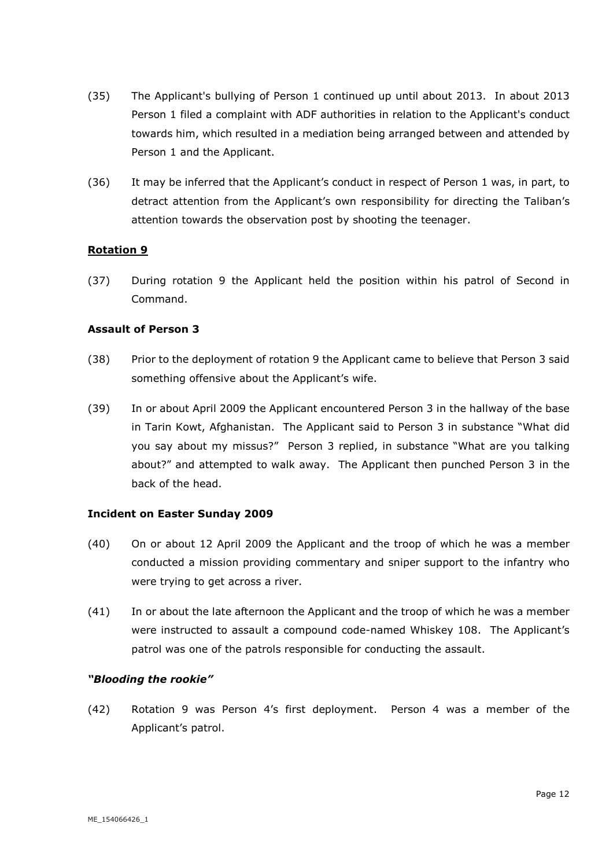- (35) The Applicant's bullying of Person 1 continued up until about 2013. In about 2013 Person 1 filed a complaint with ADF authorities in relation to the Applicant's conduct towards him, which resulted in a mediation being arranged between and attended by Person 1 and the Applicant.
- (36) It may be inferred that the Applicant's conduct in respect of Person 1 was, in part, to detract attention from the Applicant's own responsibility for directing the Taliban's attention towards the observation post by shooting the teenager.

## **Rotation 9**

(37) During rotation 9 the Applicant held the position within his patrol of Second in Command.

#### **Assault of Person 3**

- (38) Prior to the deployment of rotation 9 the Applicant came to believe that Person 3 said something offensive about the Applicant's wife.
- (39) In or about April 2009 the Applicant encountered Person 3 in the hallway of the base in Tarin Kowt, Afghanistan. The Applicant said to Person 3 in substance "What did you say about my missus?" Person 3 replied, in substance "What are you talking about?" and attempted to walk away. The Applicant then punched Person 3 in the back of the head.

#### **Incident on Easter Sunday 2009**

- (40) On or about 12 April 2009 the Applicant and the troop of which he was a member conducted a mission providing commentary and sniper support to the infantry who were trying to get across a river.
- (41) In or about the late afternoon the Applicant and the troop of which he was a member were instructed to assault a compound code-named Whiskey 108. The Applicant's patrol was one of the patrols responsible for conducting the assault.

#### *"Blooding the rookie"*

(42) Rotation 9 was Person 4's first deployment. Person 4 was a member of the Applicant's patrol.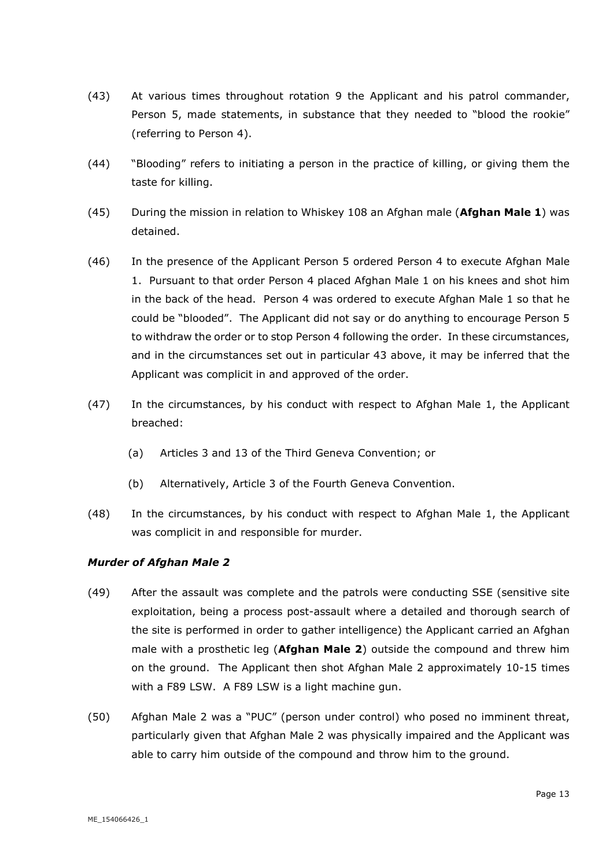- (43) At various times throughout rotation 9 the Applicant and his patrol commander, Person 5, made statements, in substance that they needed to "blood the rookie" (referring to Person 4).
- (44) "Blooding" refers to initiating a person in the practice of killing, or giving them the taste for killing.
- (45) During the mission in relation to Whiskey 108 an Afghan male (**Afghan Male 1**) was detained.
- (46) In the presence of the Applicant Person 5 ordered Person 4 to execute Afghan Male 1. Pursuant to that order Person 4 placed Afghan Male 1 on his knees and shot him in the back of the head. Person 4 was ordered to execute Afghan Male 1 so that he could be "blooded". The Applicant did not say or do anything to encourage Person 5 to withdraw the order or to stop Person 4 following the order. In these circumstances, and in the circumstances set out in particular 43 above, it may be inferred that the Applicant was complicit in and approved of the order.
- (47) In the circumstances, by his conduct with respect to Afghan Male 1, the Applicant breached:
	- (a) Articles 3 and 13 of the Third Geneva Convention; or
	- (b) Alternatively, Article 3 of the Fourth Geneva Convention.
- (48) In the circumstances, by his conduct with respect to Afghan Male 1, the Applicant was complicit in and responsible for murder.

## *Murder of Afghan Male 2*

- (49) After the assault was complete and the patrols were conducting SSE (sensitive site exploitation, being a process post-assault where a detailed and thorough search of the site is performed in order to gather intelligence) the Applicant carried an Afghan male with a prosthetic leg (**Afghan Male 2**) outside the compound and threw him on the ground. The Applicant then shot Afghan Male 2 approximately 10-15 times with a F89 LSW. A F89 LSW is a light machine gun.
- (50) Afghan Male 2 was a "PUC" (person under control) who posed no imminent threat, particularly given that Afghan Male 2 was physically impaired and the Applicant was able to carry him outside of the compound and throw him to the ground.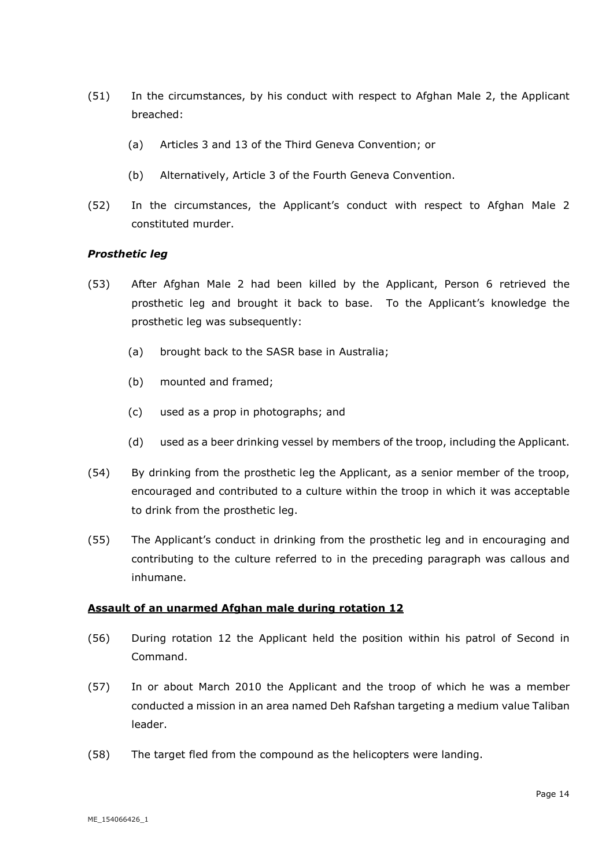- (51) In the circumstances, by his conduct with respect to Afghan Male 2, the Applicant breached:
	- (a) Articles 3 and 13 of the Third Geneva Convention; or
	- (b) Alternatively, Article 3 of the Fourth Geneva Convention.
- (52) In the circumstances, the Applicant's conduct with respect to Afghan Male 2 constituted murder.

#### *Prosthetic leg*

- (53) After Afghan Male 2 had been killed by the Applicant, Person 6 retrieved the prosthetic leg and brought it back to base. To the Applicant's knowledge the prosthetic leg was subsequently:
	- (a) brought back to the SASR base in Australia;
	- (b) mounted and framed;
	- (c) used as a prop in photographs; and
	- (d) used as a beer drinking vessel by members of the troop, including the Applicant.
- (54) By drinking from the prosthetic leg the Applicant, as a senior member of the troop, encouraged and contributed to a culture within the troop in which it was acceptable to drink from the prosthetic leg.
- (55) The Applicant's conduct in drinking from the prosthetic leg and in encouraging and contributing to the culture referred to in the preceding paragraph was callous and inhumane.

#### **Assault of an unarmed Afghan male during rotation 12**

- (56) During rotation 12 the Applicant held the position within his patrol of Second in Command.
- (57) In or about March 2010 the Applicant and the troop of which he was a member conducted a mission in an area named Deh Rafshan targeting a medium value Taliban leader.
- (58) The target fled from the compound as the helicopters were landing.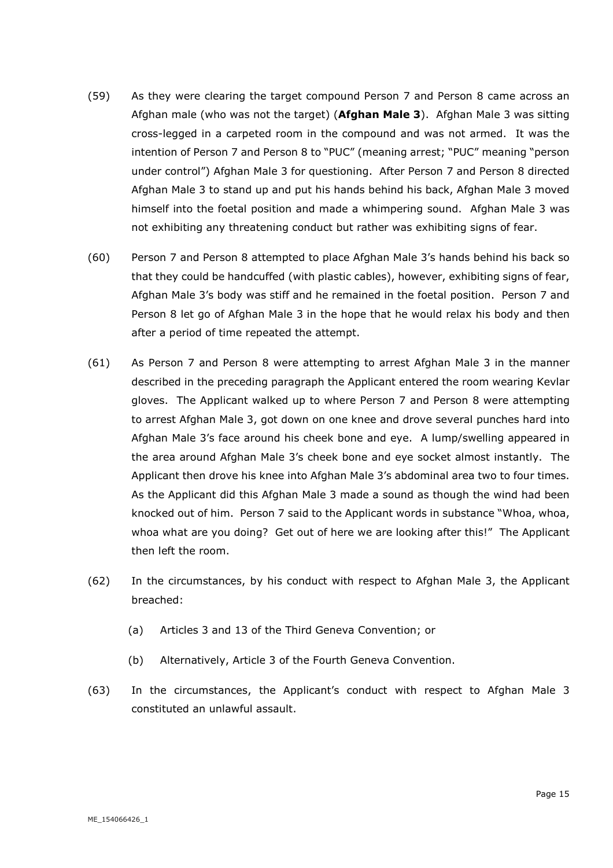- (59) As they were clearing the target compound Person 7 and Person 8 came across an Afghan male (who was not the target) (**Afghan Male 3**). Afghan Male 3 was sitting cross-legged in a carpeted room in the compound and was not armed. It was the intention of Person 7 and Person 8 to "PUC" (meaning arrest; "PUC" meaning "person under control") Afghan Male 3 for questioning. After Person 7 and Person 8 directed Afghan Male 3 to stand up and put his hands behind his back, Afghan Male 3 moved himself into the foetal position and made a whimpering sound. Afghan Male 3 was not exhibiting any threatening conduct but rather was exhibiting signs of fear.
- (60) Person 7 and Person 8 attempted to place Afghan Male 3's hands behind his back so that they could be handcuffed (with plastic cables), however, exhibiting signs of fear, Afghan Male 3's body was stiff and he remained in the foetal position. Person 7 and Person 8 let go of Afghan Male 3 in the hope that he would relax his body and then after a period of time repeated the attempt.
- (61) As Person 7 and Person 8 were attempting to arrest Afghan Male 3 in the manner described in the preceding paragraph the Applicant entered the room wearing Kevlar gloves. The Applicant walked up to where Person 7 and Person 8 were attempting to arrest Afghan Male 3, got down on one knee and drove several punches hard into Afghan Male 3's face around his cheek bone and eye. A lump/swelling appeared in the area around Afghan Male 3's cheek bone and eye socket almost instantly. The Applicant then drove his knee into Afghan Male 3's abdominal area two to four times. As the Applicant did this Afghan Male 3 made a sound as though the wind had been knocked out of him. Person 7 said to the Applicant words in substance "Whoa, whoa, whoa what are you doing? Get out of here we are looking after this!" The Applicant then left the room.
- (62) In the circumstances, by his conduct with respect to Afghan Male 3, the Applicant breached:
	- (a) Articles 3 and 13 of the Third Geneva Convention; or
	- (b) Alternatively, Article 3 of the Fourth Geneva Convention.
- (63) In the circumstances, the Applicant's conduct with respect to Afghan Male 3 constituted an unlawful assault.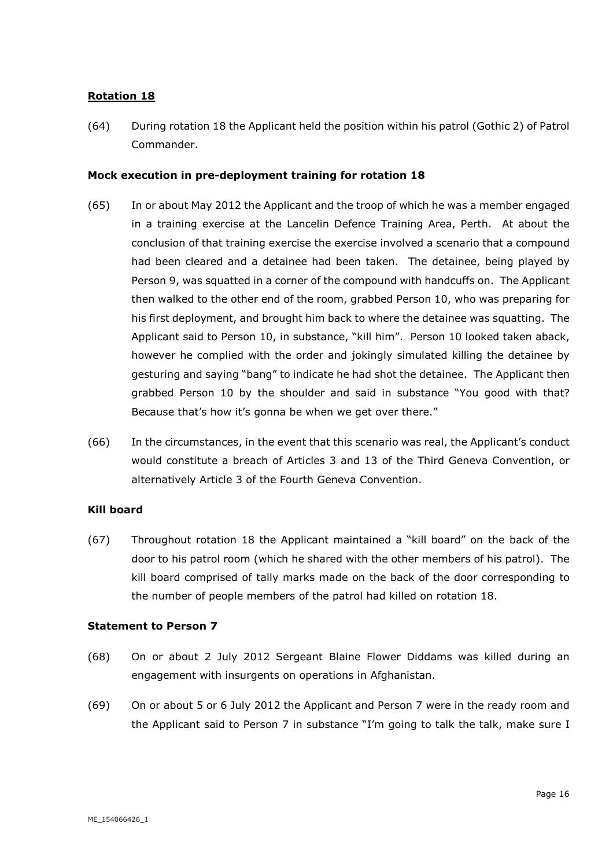## **Rotation 18**

(64) During rotation 18 the Applicant held the position within his patrol (Gothic 2) of Patrol Commander.

#### **Mock execution in pre-deployment training for rotation 18**

- (65) In or about May 2012 the Applicant and the troop of which he was a member engaged in a training exercise at the Lancelin Defence Training Area, Perth. At about the conclusion of that training exercise the exercise involved a scenario that a compound had been cleared and a detainee had been taken. The detainee, being played by Person 9, was squatted in a corner of the compound with handcuffs on. The Applicant then walked to the other end of the room, grabbed Person 10, who was preparing for his first deployment, and brought him back to where the detainee was squatting. The Applicant said to Person 10, in substance, "kill him". Person 10 looked taken aback, however he complied with the order and jokingly simulated killing the detainee by gesturing and saying "bang" to indicate he had shot the detainee. The Applicant then grabbed Person 10 by the shoulder and said in substance "You good with that? Because that's how it's gonna be when we get over there."
- (66) In the circumstances, in the event that this scenario was real, the Applicant's conduct would constitute a breach of Articles 3 and 13 of the Third Geneva Convention, or alternatively Article 3 of the Fourth Geneva Convention.

#### **Kill board**

(67) Throughout rotation 18 the Applicant maintained a "kill board" on the back of the door to his patrol room (which he shared with the other members of his patrol). The kill board comprised of tally marks made on the back of the door corresponding to the number of people members of the patrol had killed on rotation 18.

## **Statement to Person 7**

- (68) On or about 2 July 2012 Sergeant Blaine Flower Diddams was killed during an engagement with insurgents on operations in Afghanistan.
- (69) On or about 5 or 6 July 2012 the Applicant and Person 7 were in the ready room and the Applicant said to Person 7 in substance "I'm going to talk the talk, make sure I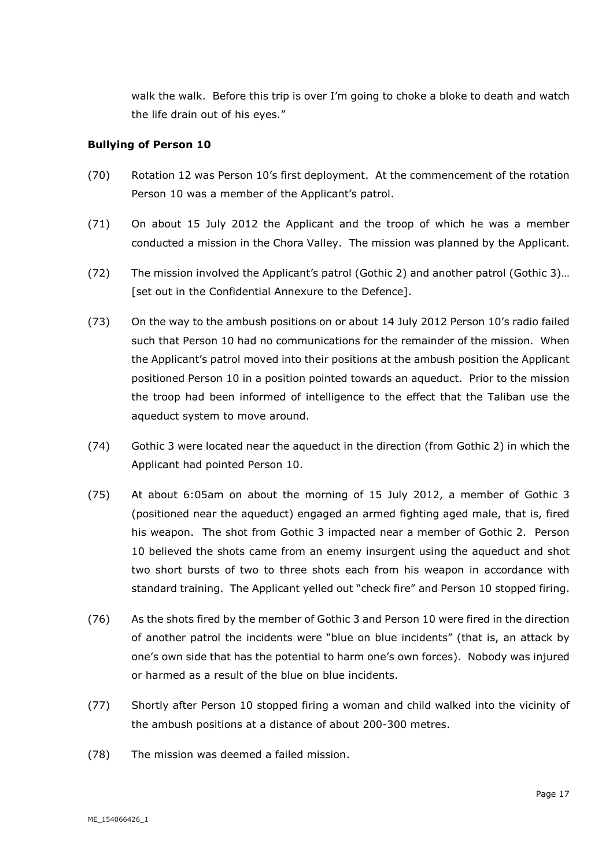walk the walk. Before this trip is over I'm going to choke a bloke to death and watch the life drain out of his eyes."

## **Bullying of Person 10**

- (70) Rotation 12 was Person 10's first deployment. At the commencement of the rotation Person 10 was a member of the Applicant's patrol.
- (71) On about 15 July 2012 the Applicant and the troop of which he was a member conducted a mission in the Chora Valley. The mission was planned by the Applicant.
- (72) The mission involved the Applicant's patrol (Gothic 2) and another patrol (Gothic 3)… [set out in the Confidential Annexure to the Defence].
- (73) On the way to the ambush positions on or about 14 July 2012 Person 10's radio failed such that Person 10 had no communications for the remainder of the mission. When the Applicant's patrol moved into their positions at the ambush position the Applicant positioned Person 10 in a position pointed towards an aqueduct. Prior to the mission the troop had been informed of intelligence to the effect that the Taliban use the aqueduct system to move around.
- (74) Gothic 3 were located near the aqueduct in the direction (from Gothic 2) in which the Applicant had pointed Person 10.
- (75) At about 6:05am on about the morning of 15 July 2012, a member of Gothic 3 (positioned near the aqueduct) engaged an armed fighting aged male, that is, fired his weapon. The shot from Gothic 3 impacted near a member of Gothic 2. Person 10 believed the shots came from an enemy insurgent using the aqueduct and shot two short bursts of two to three shots each from his weapon in accordance with standard training. The Applicant yelled out "check fire" and Person 10 stopped firing.
- (76) As the shots fired by the member of Gothic 3 and Person 10 were fired in the direction of another patrol the incidents were "blue on blue incidents" (that is, an attack by one's own side that has the potential to harm one's own forces). Nobody was injured or harmed as a result of the blue on blue incidents.
- (77) Shortly after Person 10 stopped firing a woman and child walked into the vicinity of the ambush positions at a distance of about 200-300 metres.
- (78) The mission was deemed a failed mission.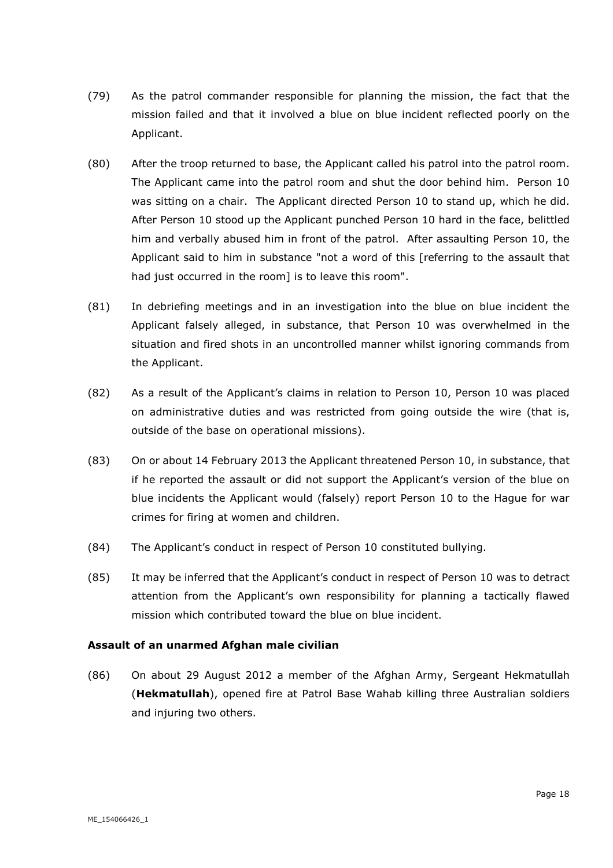- (79) As the patrol commander responsible for planning the mission, the fact that the mission failed and that it involved a blue on blue incident reflected poorly on the Applicant.
- (80) After the troop returned to base, the Applicant called his patrol into the patrol room. The Applicant came into the patrol room and shut the door behind him. Person 10 was sitting on a chair. The Applicant directed Person 10 to stand up, which he did. After Person 10 stood up the Applicant punched Person 10 hard in the face, belittled him and verbally abused him in front of the patrol. After assaulting Person 10, the Applicant said to him in substance "not a word of this [referring to the assault that had just occurred in the room] is to leave this room".
- (81) In debriefing meetings and in an investigation into the blue on blue incident the Applicant falsely alleged, in substance, that Person 10 was overwhelmed in the situation and fired shots in an uncontrolled manner whilst ignoring commands from the Applicant.
- (82) As a result of the Applicant's claims in relation to Person 10, Person 10 was placed on administrative duties and was restricted from going outside the wire (that is, outside of the base on operational missions).
- (83) On or about 14 February 2013 the Applicant threatened Person 10, in substance, that if he reported the assault or did not support the Applicant's version of the blue on blue incidents the Applicant would (falsely) report Person 10 to the Hague for war crimes for firing at women and children.
- (84) The Applicant's conduct in respect of Person 10 constituted bullying.
- (85) It may be inferred that the Applicant's conduct in respect of Person 10 was to detract attention from the Applicant's own responsibility for planning a tactically flawed mission which contributed toward the blue on blue incident.

#### **Assault of an unarmed Afghan male civilian**

(86) On about 29 August 2012 a member of the Afghan Army, Sergeant Hekmatullah (**Hekmatullah**), opened fire at Patrol Base Wahab killing three Australian soldiers and injuring two others.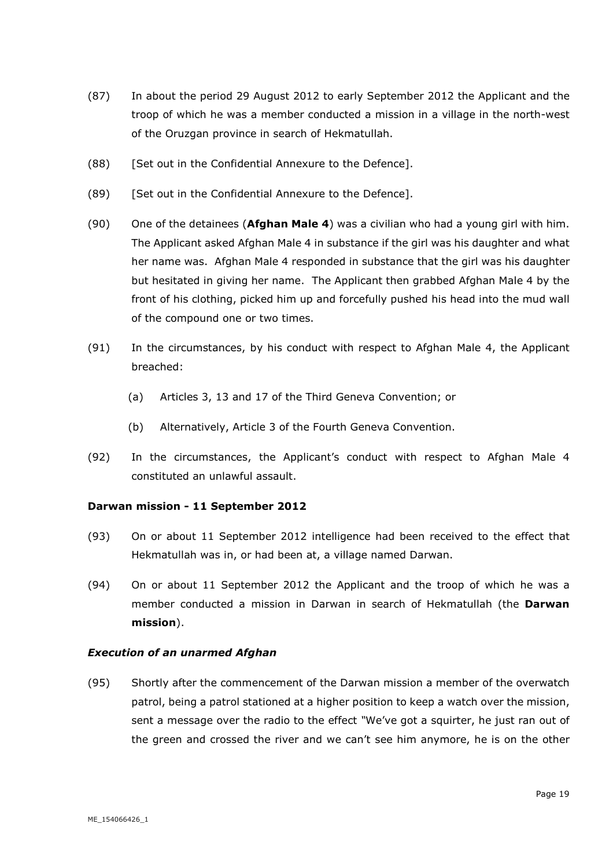- (87) In about the period 29 August 2012 to early September 2012 the Applicant and the troop of which he was a member conducted a mission in a village in the north-west of the Oruzgan province in search of Hekmatullah.
- (88) [Set out in the Confidential Annexure to the Defence].
- (89) [Set out in the Confidential Annexure to the Defence].
- (90) One of the detainees (**Afghan Male 4**) was a civilian who had a young girl with him. The Applicant asked Afghan Male 4 in substance if the girl was his daughter and what her name was. Afghan Male 4 responded in substance that the girl was his daughter but hesitated in giving her name. The Applicant then grabbed Afghan Male 4 by the front of his clothing, picked him up and forcefully pushed his head into the mud wall of the compound one or two times.
- (91) In the circumstances, by his conduct with respect to Afghan Male 4, the Applicant breached:
	- (a) Articles 3, 13 and 17 of the Third Geneva Convention; or
	- (b) Alternatively, Article 3 of the Fourth Geneva Convention.
- (92) In the circumstances, the Applicant's conduct with respect to Afghan Male 4 constituted an unlawful assault.

#### **Darwan mission - 11 September 2012**

- (93) On or about 11 September 2012 intelligence had been received to the effect that Hekmatullah was in, or had been at, a village named Darwan.
- (94) On or about 11 September 2012 the Applicant and the troop of which he was a member conducted a mission in Darwan in search of Hekmatullah (the **Darwan mission**).

#### *Execution of an unarmed Afghan*

(95) Shortly after the commencement of the Darwan mission a member of the overwatch patrol, being a patrol stationed at a higher position to keep a watch over the mission, sent a message over the radio to the effect *"*We've got a squirter, he just ran out of the green and crossed the river and we can't see him anymore, he is on the other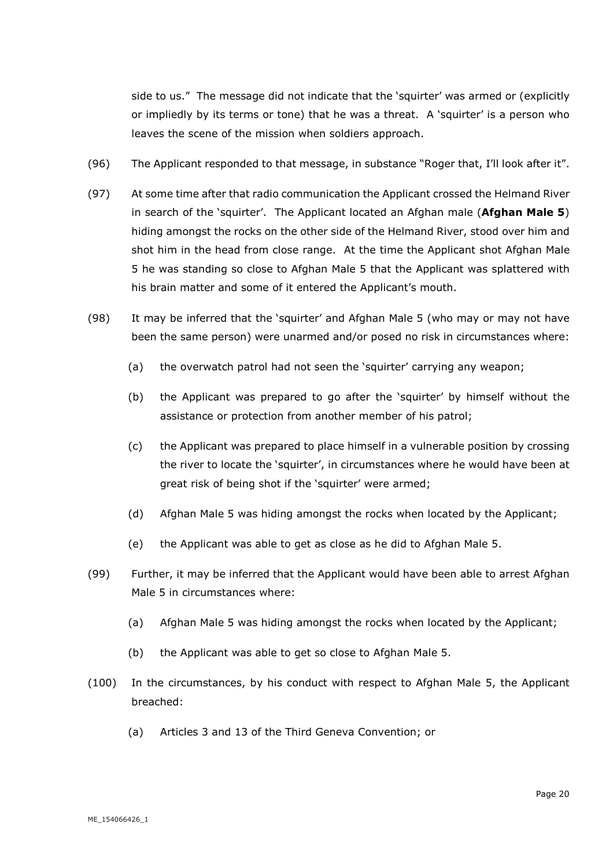side to us." The message did not indicate that the 'squirter' was armed or (explicitly or impliedly by its terms or tone) that he was a threat. A 'squirter' is a person who leaves the scene of the mission when soldiers approach.

- (96) The Applicant responded to that message, in substance "Roger that, I'll look after it".
- (97) At some time after that radio communication the Applicant crossed the Helmand River in search of the 'squirter'. The Applicant located an Afghan male (**Afghan Male 5**) hiding amongst the rocks on the other side of the Helmand River, stood over him and shot him in the head from close range. At the time the Applicant shot Afghan Male 5 he was standing so close to Afghan Male 5 that the Applicant was splattered with his brain matter and some of it entered the Applicant's mouth.
- (98) It may be inferred that the 'squirter' and Afghan Male 5 (who may or may not have been the same person) were unarmed and/or posed no risk in circumstances where:
	- (a) the overwatch patrol had not seen the 'squirter' carrying any weapon;
	- (b) the Applicant was prepared to go after the 'squirter' by himself without the assistance or protection from another member of his patrol;
	- (c) the Applicant was prepared to place himself in a vulnerable position by crossing the river to locate the 'squirter', in circumstances where he would have been at great risk of being shot if the 'squirter' were armed;
	- (d) Afghan Male 5 was hiding amongst the rocks when located by the Applicant;
	- (e) the Applicant was able to get as close as he did to Afghan Male 5.
- (99) Further, it may be inferred that the Applicant would have been able to arrest Afghan Male 5 in circumstances where:
	- (a) Afghan Male 5 was hiding amongst the rocks when located by the Applicant;
	- (b) the Applicant was able to get so close to Afghan Male 5.
- (100) In the circumstances, by his conduct with respect to Afghan Male 5, the Applicant breached:
	- (a) Articles 3 and 13 of the Third Geneva Convention; or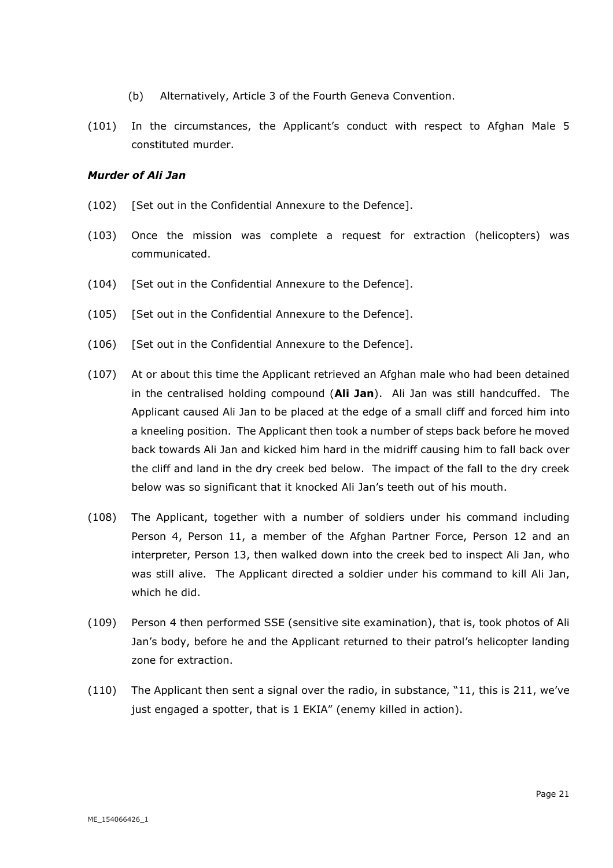- (b) Alternatively, Article 3 of the Fourth Geneva Convention.
- (101) In the circumstances, the Applicant's conduct with respect to Afghan Male 5 constituted murder.

## *Murder of Ali Jan*

- (102) [Set out in the Confidential Annexure to the Defence].
- (103) Once the mission was complete a request for extraction (helicopters) was communicated.
- (104) [Set out in the Confidential Annexure to the Defence].
- (105) [Set out in the Confidential Annexure to the Defence].
- (106) [Set out in the Confidential Annexure to the Defence].
- (107) At or about this time the Applicant retrieved an Afghan male who had been detained in the centralised holding compound (**Ali Jan**). Ali Jan was still handcuffed. The Applicant caused Ali Jan to be placed at the edge of a small cliff and forced him into a kneeling position. The Applicant then took a number of steps back before he moved back towards Ali Jan and kicked him hard in the midriff causing him to fall back over the cliff and land in the dry creek bed below. The impact of the fall to the dry creek below was so significant that it knocked Ali Jan's teeth out of his mouth.
- (108) The Applicant, together with a number of soldiers under his command including Person 4, Person 11, a member of the Afghan Partner Force, Person 12 and an interpreter, Person 13, then walked down into the creek bed to inspect Ali Jan, who was still alive. The Applicant directed a soldier under his command to kill Ali Jan, which he did.
- (109) Person 4 then performed SSE (sensitive site examination), that is, took photos of Ali Jan's body, before he and the Applicant returned to their patrol's helicopter landing zone for extraction.
- (110) The Applicant then sent a signal over the radio, in substance, "11, this is 211, we've just engaged a spotter, that is 1 EKIA" (enemy killed in action).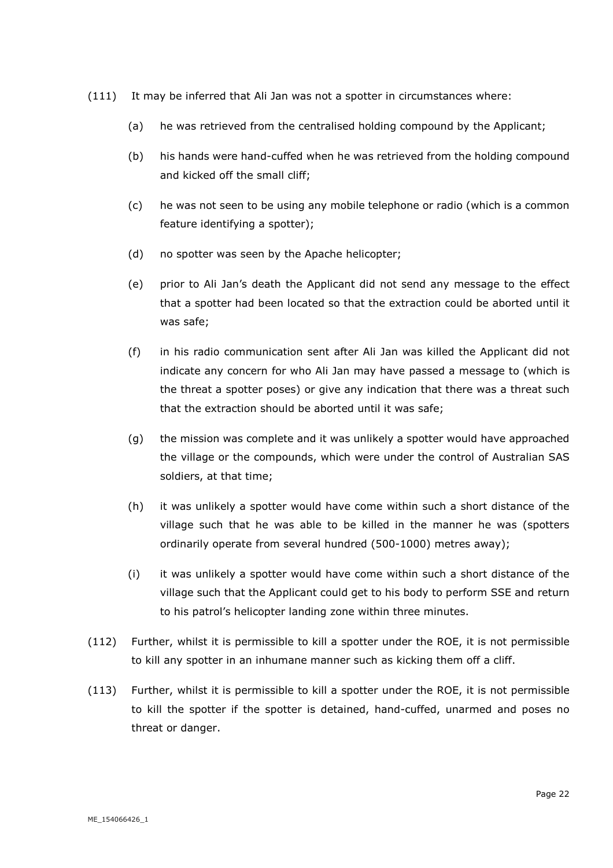- (111) It may be inferred that Ali Jan was not a spotter in circumstances where:
	- (a) he was retrieved from the centralised holding compound by the Applicant;
	- (b) his hands were hand-cuffed when he was retrieved from the holding compound and kicked off the small cliff;
	- (c) he was not seen to be using any mobile telephone or radio (which is a common feature identifying a spotter);
	- (d) no spotter was seen by the Apache helicopter;
	- (e) prior to Ali Jan's death the Applicant did not send any message to the effect that a spotter had been located so that the extraction could be aborted until it was safe;
	- (f) in his radio communication sent after Ali Jan was killed the Applicant did not indicate any concern for who Ali Jan may have passed a message to (which is the threat a spotter poses) or give any indication that there was a threat such that the extraction should be aborted until it was safe;
	- (g) the mission was complete and it was unlikely a spotter would have approached the village or the compounds, which were under the control of Australian SAS soldiers, at that time;
	- (h) it was unlikely a spotter would have come within such a short distance of the village such that he was able to be killed in the manner he was (spotters ordinarily operate from several hundred (500-1000) metres away);
	- (i) it was unlikely a spotter would have come within such a short distance of the village such that the Applicant could get to his body to perform SSE and return to his patrol's helicopter landing zone within three minutes.
- (112) Further, whilst it is permissible to kill a spotter under the ROE, it is not permissible to kill any spotter in an inhumane manner such as kicking them off a cliff.
- (113) Further, whilst it is permissible to kill a spotter under the ROE, it is not permissible to kill the spotter if the spotter is detained, hand-cuffed, unarmed and poses no threat or danger.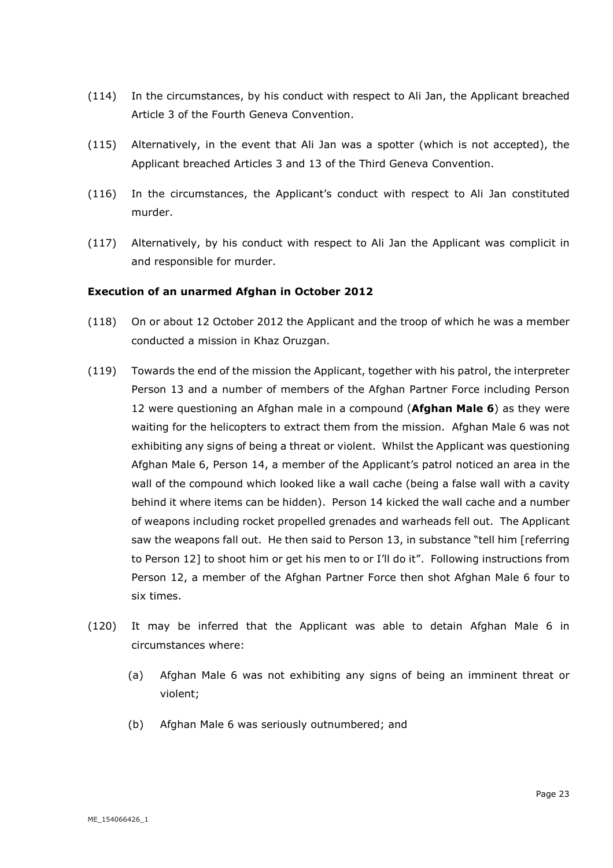- (114) In the circumstances, by his conduct with respect to Ali Jan, the Applicant breached Article 3 of the Fourth Geneva Convention.
- (115) Alternatively, in the event that Ali Jan was a spotter (which is not accepted), the Applicant breached Articles 3 and 13 of the Third Geneva Convention.
- (116) In the circumstances, the Applicant's conduct with respect to Ali Jan constituted murder.
- (117) Alternatively, by his conduct with respect to Ali Jan the Applicant was complicit in and responsible for murder.

#### **Execution of an unarmed Afghan in October 2012**

- (118) On or about 12 October 2012 the Applicant and the troop of which he was a member conducted a mission in Khaz Oruzgan.
- (119) Towards the end of the mission the Applicant, together with his patrol, the interpreter Person 13 and a number of members of the Afghan Partner Force including Person 12 were questioning an Afghan male in a compound (**Afghan Male 6**) as they were waiting for the helicopters to extract them from the mission. Afghan Male 6 was not exhibiting any signs of being a threat or violent. Whilst the Applicant was questioning Afghan Male 6, Person 14, a member of the Applicant's patrol noticed an area in the wall of the compound which looked like a wall cache (being a false wall with a cavity behind it where items can be hidden). Person 14 kicked the wall cache and a number of weapons including rocket propelled grenades and warheads fell out. The Applicant saw the weapons fall out. He then said to Person 13, in substance "tell him [referring to Person 12] to shoot him or get his men to or I'll do it". Following instructions from Person 12, a member of the Afghan Partner Force then shot Afghan Male 6 four to six times.
- (120) It may be inferred that the Applicant was able to detain Afghan Male 6 in circumstances where:
	- (a) Afghan Male 6 was not exhibiting any signs of being an imminent threat or violent;
	- (b) Afghan Male 6 was seriously outnumbered; and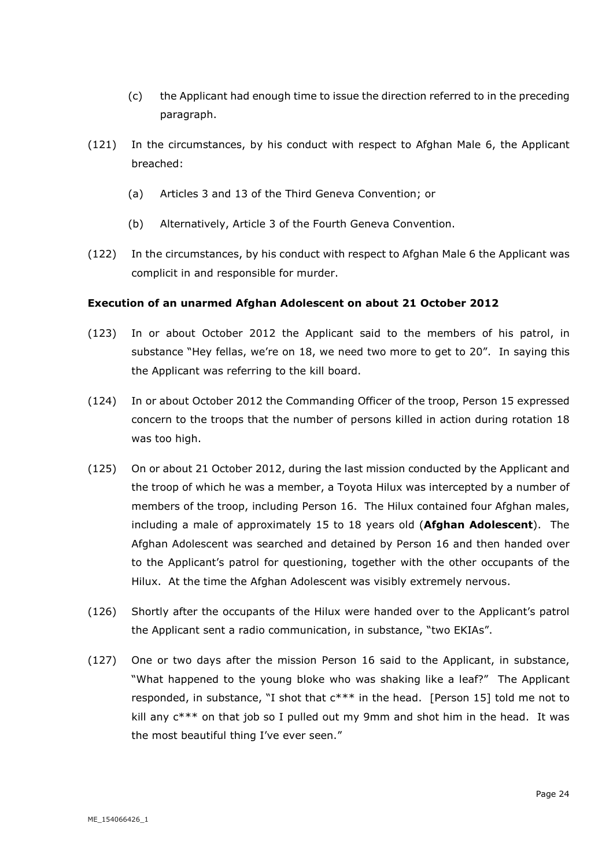- (c) the Applicant had enough time to issue the direction referred to in the preceding paragraph.
- (121) In the circumstances, by his conduct with respect to Afghan Male 6, the Applicant breached:
	- (a) Articles 3 and 13 of the Third Geneva Convention; or
	- (b) Alternatively, Article 3 of the Fourth Geneva Convention.
- (122) In the circumstances, by his conduct with respect to Afghan Male 6 the Applicant was complicit in and responsible for murder.

## **Execution of an unarmed Afghan Adolescent on about 21 October 2012**

- (123) In or about October 2012 the Applicant said to the members of his patrol, in substance "Hey fellas, we're on 18, we need two more to get to 20". In saying this the Applicant was referring to the kill board.
- (124) In or about October 2012 the Commanding Officer of the troop, Person 15 expressed concern to the troops that the number of persons killed in action during rotation 18 was too high.
- (125) On or about 21 October 2012, during the last mission conducted by the Applicant and the troop of which he was a member, a Toyota Hilux was intercepted by a number of members of the troop, including Person 16. The Hilux contained four Afghan males, including a male of approximately 15 to 18 years old (**Afghan Adolescent**). The Afghan Adolescent was searched and detained by Person 16 and then handed over to the Applicant's patrol for questioning, together with the other occupants of the Hilux. At the time the Afghan Adolescent was visibly extremely nervous.
- (126) Shortly after the occupants of the Hilux were handed over to the Applicant's patrol the Applicant sent a radio communication, in substance, "two EKIAs".
- (127) One or two days after the mission Person 16 said to the Applicant, in substance, "What happened to the young bloke who was shaking like a leaf?" The Applicant responded, in substance, "I shot that c\*\*\* in the head. [Person 15] told me not to kill any  $c^{***}$  on that job so I pulled out my 9mm and shot him in the head. It was the most beautiful thing I've ever seen."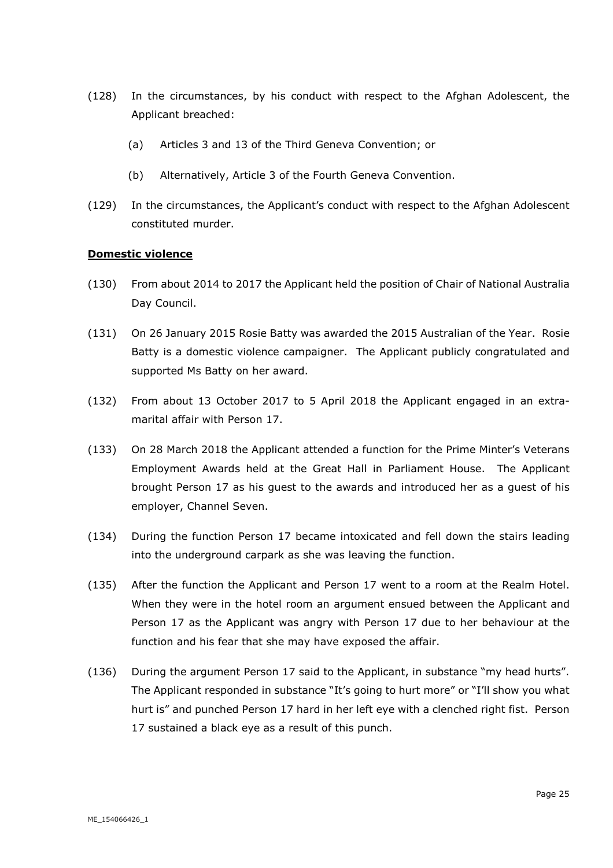- (128) In the circumstances, by his conduct with respect to the Afghan Adolescent, the Applicant breached:
	- (a) Articles 3 and 13 of the Third Geneva Convention; or
	- (b) Alternatively, Article 3 of the Fourth Geneva Convention.
- (129) In the circumstances, the Applicant's conduct with respect to the Afghan Adolescent constituted murder.

#### **Domestic violence**

- (130) From about 2014 to 2017 the Applicant held the position of Chair of National Australia Day Council.
- (131) On 26 January 2015 Rosie Batty was awarded the 2015 Australian of the Year. Rosie Batty is a domestic violence campaigner. The Applicant publicly congratulated and supported Ms Batty on her award.
- (132) From about 13 October 2017 to 5 April 2018 the Applicant engaged in an extramarital affair with Person 17.
- (133) On 28 March 2018 the Applicant attended a function for the Prime Minter's Veterans Employment Awards held at the Great Hall in Parliament House. The Applicant brought Person 17 as his guest to the awards and introduced her as a guest of his employer, Channel Seven.
- (134) During the function Person 17 became intoxicated and fell down the stairs leading into the underground carpark as she was leaving the function.
- (135) After the function the Applicant and Person 17 went to a room at the Realm Hotel. When they were in the hotel room an argument ensued between the Applicant and Person 17 as the Applicant was angry with Person 17 due to her behaviour at the function and his fear that she may have exposed the affair.
- (136) During the argument Person 17 said to the Applicant, in substance "my head hurts". The Applicant responded in substance "It's going to hurt more" or "I'll show you what hurt is" and punched Person 17 hard in her left eye with a clenched right fist. Person 17 sustained a black eye as a result of this punch.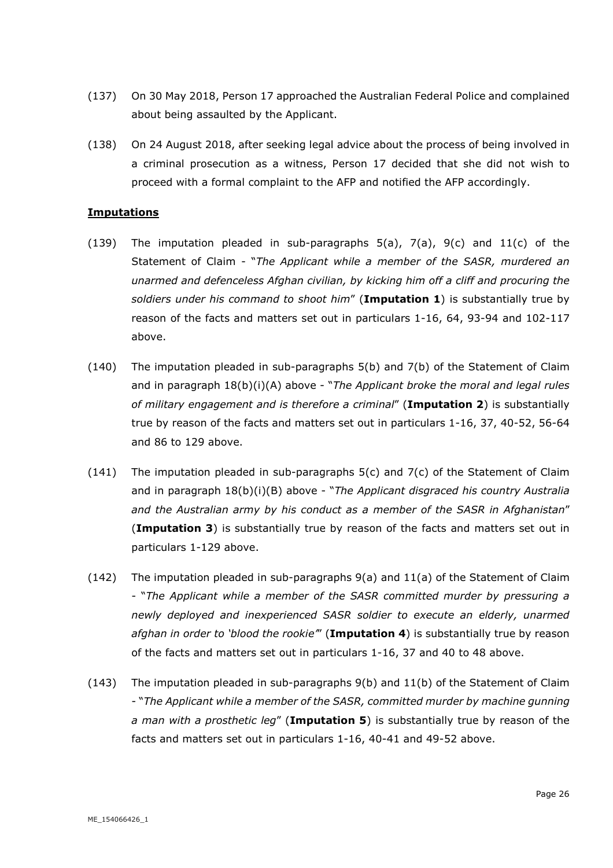- (137) On 30 May 2018, Person 17 approached the Australian Federal Police and complained about being assaulted by the Applicant.
- (138) On 24 August 2018, after seeking legal advice about the process of being involved in a criminal prosecution as a witness, Person 17 decided that she did not wish to proceed with a formal complaint to the AFP and notified the AFP accordingly.

### **Imputations**

- (139) The imputation pleaded in sub-paragraphs  $5(a)$ ,  $7(a)$ ,  $9(c)$  and  $11(c)$  of the Statement of Claim - "*The Applicant while a member of the SASR, murdered an unarmed and defenceless Afghan civilian, by kicking him off a cliff and procuring the soldiers under his command to shoot him*" (**Imputation 1**) is substantially true by reason of the facts and matters set out in particulars 1-16, 64, 93-94 and 102-117 above.
- (140) The imputation pleaded in sub-paragraphs 5(b) and 7(b) of the Statement of Claim and in paragraph  $18(b)(i)(A)$  above - "*The Applicant broke the moral and legal rules of military engagement and is therefore a criminal*" (**Imputation 2**) is substantially true by reason of the facts and matters set out in particulars 1-16, 37, 40-52, 56-64 and 86 to 129 above.
- (141) The imputation pleaded in sub-paragraphs 5(c) and 7(c) of the Statement of Claim and in paragraph 18(b)(i)(B) above - "*The Applicant disgraced his country Australia and the Australian army by his conduct as a member of the SASR in Afghanistan*" (**Imputation 3**) is substantially true by reason of the facts and matters set out in particulars 1-129 above.
- $(142)$  The imputation pleaded in sub-paragraphs  $9(a)$  and  $11(a)$  of the Statement of Claim - "*The Applicant while a member of the SASR committed murder by pressuring a newly deployed and inexperienced SASR soldier to execute an elderly, unarmed afghan in order to 'blood the rookie'*" (**Imputation 4**) is substantially true by reason of the facts and matters set out in particulars 1-16, 37 and 40 to 48 above.
- (143) The imputation pleaded in sub-paragraphs 9(b) and 11(b) of the Statement of Claim - "*The Applicant while a member of the SASR, committed murder by machine gunning a man with a prosthetic leg*" (**Imputation 5**) is substantially true by reason of the facts and matters set out in particulars 1-16, 40-41 and 49-52 above.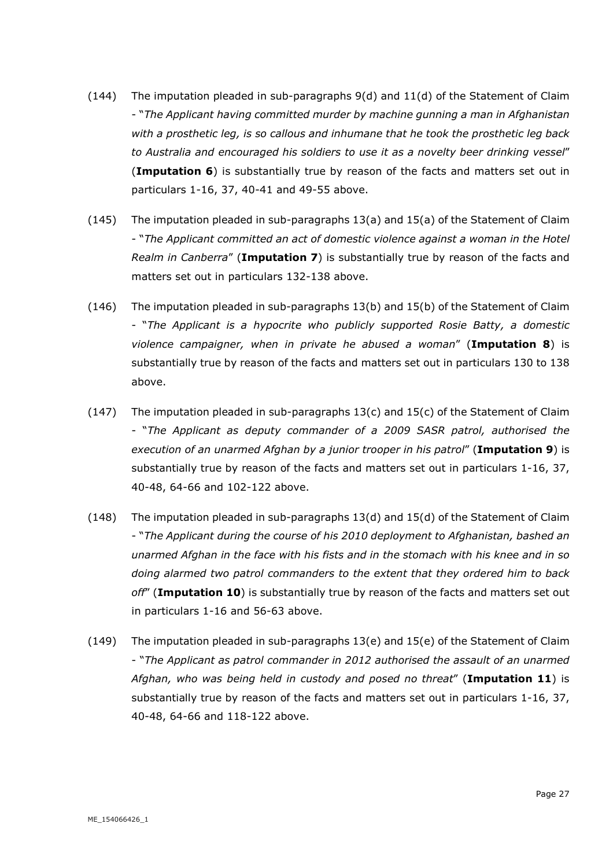- (144) The imputation pleaded in sub-paragraphs 9(d) and 11(d) of the Statement of Claim - "*The Applicant having committed murder by machine gunning a man in Afghanistan with a prosthetic leg, is so callous and inhumane that he took the prosthetic leg back to Australia and encouraged his soldiers to use it as a novelty beer drinking vessel*" (**Imputation 6**) is substantially true by reason of the facts and matters set out in particulars 1-16, 37, 40-41 and 49-55 above.
- (145) The imputation pleaded in sub-paragraphs 13(a) and 15(a) of the Statement of Claim - "*The Applicant committed an act of domestic violence against a woman in the Hotel Realm in Canberra*" (**Imputation 7**) is substantially true by reason of the facts and matters set out in particulars 132-138 above.
- (146) The imputation pleaded in sub-paragraphs 13(b) and 15(b) of the Statement of Claim - "*The Applicant is a hypocrite who publicly supported Rosie Batty, a domestic violence campaigner, when in private he abused a woman*" (**Imputation 8**) is substantially true by reason of the facts and matters set out in particulars 130 to 138 above.
- (147) The imputation pleaded in sub-paragraphs 13(c) and 15(c) of the Statement of Claim - "*The Applicant as deputy commander of a 2009 SASR patrol, authorised the execution of an unarmed Afghan by a junior trooper in his patrol*" (**Imputation 9**) is substantially true by reason of the facts and matters set out in particulars 1-16, 37, 40-48, 64-66 and 102-122 above.
- (148) The imputation pleaded in sub-paragraphs 13(d) and 15(d) of the Statement of Claim - "*The Applicant during the course of his 2010 deployment to Afghanistan, bashed an unarmed Afghan in the face with his fists and in the stomach with his knee and in so doing alarmed two patrol commanders to the extent that they ordered him to back off*" (**Imputation 10**) is substantially true by reason of the facts and matters set out in particulars 1-16 and 56-63 above.
- (149) The imputation pleaded in sub-paragraphs 13(e) and 15(e) of the Statement of Claim - "*The Applicant as patrol commander in 2012 authorised the assault of an unarmed Afghan, who was being held in custody and posed no threat*" (**Imputation 11**) is substantially true by reason of the facts and matters set out in particulars 1-16, 37, 40-48, 64-66 and 118-122 above.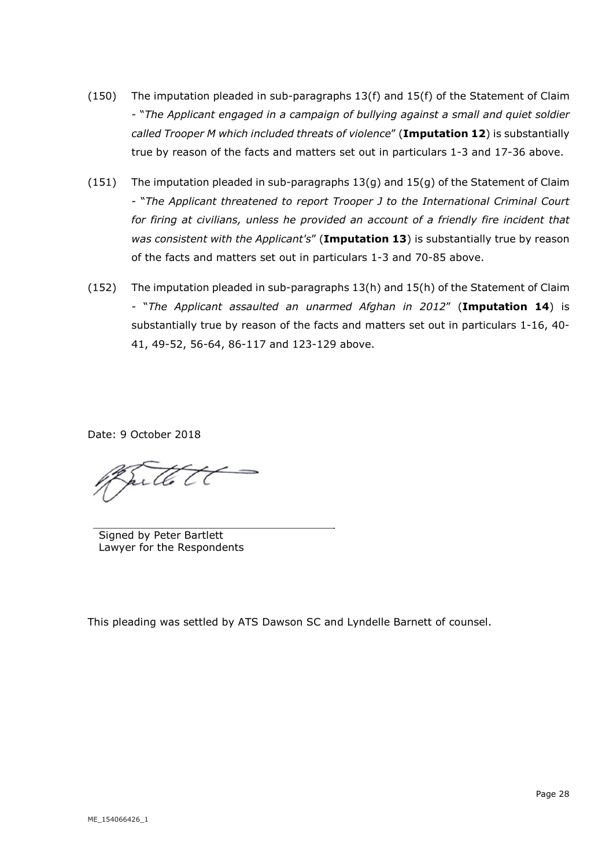- (150) The imputation pleaded in sub-paragraphs 13(f) and 15(f) of the Statement of Claim - "*The Applicant engaged in a campaign of bullying against a small and quiet soldier called Trooper M which included threats of violence*" (**Imputation 12**) is substantially true by reason of the facts and matters set out in particulars 1-3 and 17-36 above.
- (151) The imputation pleaded in sub-paragraphs 13(g) and 15(g) of the Statement of Claim - "*The Applicant threatened to report Trooper J to the International Criminal Court for firing at civilians, unless he provided an account of a friendly fire incident that was consistent with the Applicant's*" (**Imputation 13**) is substantially true by reason of the facts and matters set out in particulars 1-3 and 70-85 above.
- (152) The imputation pleaded in sub-paragraphs 13(h) and 15(h) of the Statement of Claim - "*The Applicant assaulted an unarmed Afghan in 2012*" (**Imputation 14**) is substantially true by reason of the facts and matters set out in particulars 1-16, 40- 41, 49-52, 56-64, 86-117 and 123-129 above.

Date: 9 October 2018

Fritte tt

Signed by Peter Bartlett Lawyer for the Respondents

This pleading was settled by ATS Dawson SC and Lyndelle Barnett of counsel.